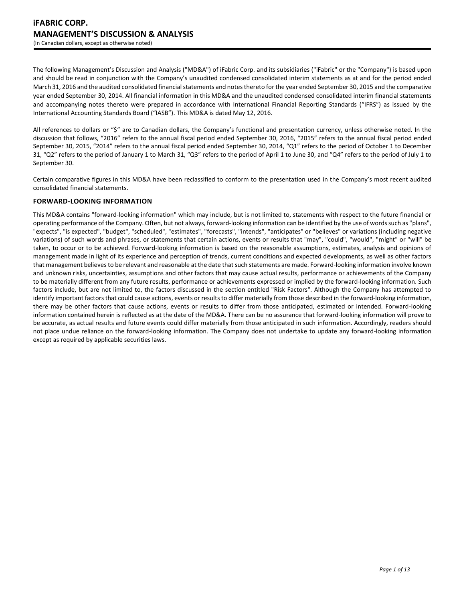The following Management's Discussion and Analysis ("MD&A") of iFabric Corp. and its subsidiaries ("iFabric" or the "Company") is based upon and should be read in conjunction with the Company's unaudited condensed consolidated interim statements as at and for the period ended March 31, 2016 and the audited consolidated financial statements and notes thereto for the year ended September 30, 2015 and the comparative year ended September 30, 2014. All financial information in this MD&A and the unaudited condensed consolidated interim financial statements and accompanying notes thereto were prepared in accordance with International Financial Reporting Standards ("IFRS") as issued by the International Accounting Standards Board ("IASB"). This MD&A is dated May 12, 2016.

All references to dollars or "\$" are to Canadian dollars, the Company's functional and presentation currency, unless otherwise noted. In the discussion that follows, "2016" refers to the annual fiscal period ended September 30, 2016, "2015" refers to the annual fiscal period ended September 30, 2015, "2014" refers to the annual fiscal period ended September 30, 2014, "Q1" refers to the period of October 1 to December 31, "Q2" refers to the period of January 1 to March 31, "Q3" refers to the period of April 1 to June 30, and "Q4" refers to the period of July 1 to September 30.

Certain comparative figures in this MD&A have been reclassified to conform to the presentation used in the Company's most recent audited consolidated financial statements.

# **FORWARD-LOOKING INFORMATION**

This MD&A contains "forward-looking information" which may include, but is not limited to, statements with respect to the future financial or operating performance of the Company. Often, but not always, forward-looking information can be identified by the use of words such as "plans", "expects", "is expected", "budget", "scheduled", "estimates", "forecasts", "intends", "anticipates" or "believes" or variations (including negative variations) of such words and phrases, or statements that certain actions, events or results that "may", "could", "would", "might" or "will" be taken, to occur or to be achieved. Forward-looking information is based on the reasonable assumptions, estimates, analysis and opinions of management made in light of its experience and perception of trends, current conditions and expected developments, as well as other factors that management believes to be relevant and reasonable at the date that such statements are made. Forward-looking information involve known and unknown risks, uncertainties, assumptions and other factors that may cause actual results, performance or achievements of the Company to be materially different from any future results, performance or achievements expressed or implied by the forward-looking information. Such factors include, but are not limited to, the factors discussed in the section entitled "Risk Factors". Although the Company has attempted to identify important factors that could cause actions, events or results to differ materially from those described in the forward-looking information, there may be other factors that cause actions, events or results to differ from those anticipated, estimated or intended. Forward-looking information contained herein is reflected as at the date of the MD&A. There can be no assurance that forward-looking information will prove to be accurate, as actual results and future events could differ materially from those anticipated in such information. Accordingly, readers should not place undue reliance on the forward-looking information. The Company does not undertake to update any forward-looking information except as required by applicable securities laws.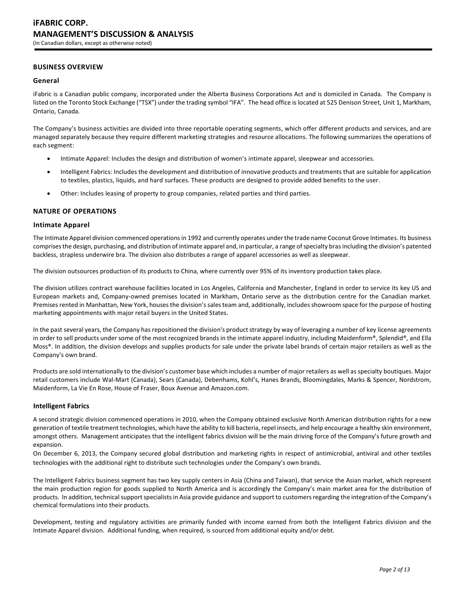# **BUSINESS OVERVIEW**

### **General**

iFabric is a Canadian public company, incorporated under the Alberta Business Corporations Act and is domiciled in Canada. The Company is listed on the Toronto Stock Exchange ("TSX") under the trading symbol "IFA". The head office is located at 525 Denison Street, Unit 1, Markham, Ontario, Canada.

The Company's business activities are divided into three reportable operating segments, which offer different products and services, and are managed separately because they require different marketing strategies and resource allocations. The following summarizes the operations of each segment:

- Intimate Apparel: Includes the design and distribution of women's intimate apparel, sleepwear and accessories.
- Intelligent Fabrics: Includes the development and distribution of innovative products and treatments that are suitable for application to textiles, plastics, liquids, and hard surfaces. These products are designed to provide added benefits to the user.
- Other: Includes leasing of property to group companies, related parties and third parties.

#### **NATURE OF OPERATIONS**

### **Intimate Apparel**

The Intimate Apparel division commenced operations in 1992 and currently operates under the trade name Coconut Grove Intimates. Its business comprises the design, purchasing, and distribution of intimate apparel and, in particular, a range of specialty bras including the division's patented backless, strapless underwire bra. The division also distributes a range of apparel accessories as well as sleepwear.

The division outsources production of its products to China, where currently over 95% of its inventory production takes place.

The division utilizes contract warehouse facilities located in Los Angeles, California and Manchester, England in order to service its key US and European markets and, Company-owned premises located in Markham, Ontario serve as the distribution centre for the Canadian market. Premises rented in Manhattan, New York, houses the division's sales team and, additionally, includes showroom space for the purpose of hosting marketing appointments with major retail buyers in the United States.

In the past several years, the Company has repositioned the division's product strategy by way of leveraging a number of key license agreements in order to sell products under some of the most recognized brands in the intimate apparel industry, including Maidenform®, Splendid®, and Ella Moss®. In addition, the division develops and supplies products for sale under the private label brands of certain major retailers as well as the Company's own brand.

Products are sold internationally to the division's customer base which includes a number of major retailers as well as specialty boutiques. Major retail customers include Wal-Mart (Canada), Sears (Canada), Debenhams, Kohl's, Hanes Brands, Bloomingdales, Marks & Spencer, Nordstrom, Maidenform, La Vie En Rose, House of Fraser, Boux Avenue and Amazon.com.

#### **Intelligent Fabrics**

A second strategic division commenced operations in 2010, when the Company obtained exclusive North American distribution rights for a new generation of textile treatment technologies, which have the ability to kill bacteria, repel insects, and help encourage a healthy skin environment, amongst others. Management anticipates that the intelligent fabrics division will be the main driving force of the Company's future growth and expansion.

On December 6, 2013, the Company secured global distribution and marketing rights in respect of antimicrobial, antiviral and other textiles technologies with the additional right to distribute such technologies under the Company's own brands.

The Intelligent Fabrics business segment has two key supply centers in Asia (China and Taiwan), that service the Asian market, which represent the main production region for goods supplied to North America and is accordingly the Company's main market area for the distribution of products. In addition, technical support specialists in Asia provide guidance and support to customers regarding the integration of the Company's chemical formulations into their products.

Development, testing and regulatory activities are primarily funded with income earned from both the Intelligent Fabrics division and the Intimate Apparel division. Additional funding, when required, is sourced from additional equity and/or debt.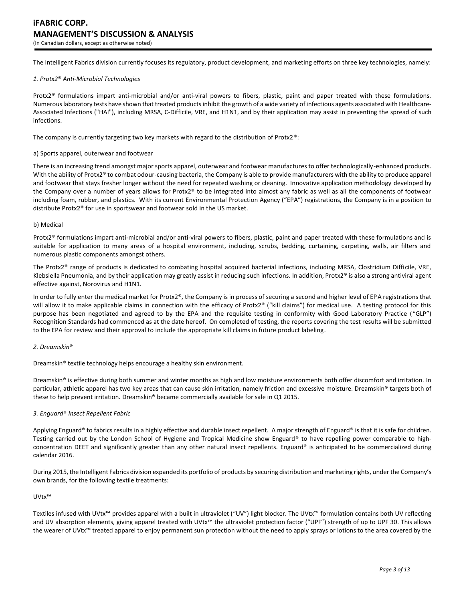The Intelligent Fabrics division currently focuses its regulatory, product development, and marketing efforts on three key technologies, namely:

#### *1. Protx2*® *Anti-Microbial Technologies*

Protx2*®* formulations impart anti-microbial and/or anti-viral powers to fibers, plastic, paint and paper treated with these formulations. Numerous laboratory tests have shown that treated products inhibit the growth of a wide variety of infectious agents associated with Healthcare-Associated Infections ("HAI"), including MRSA, C-Difficile, VRE, and H1N1, and by their application may assist in preventing the spread of such infections.

The company is currently targeting two key markets with regard to the distribution of Protx2®:

### a) Sports apparel, outerwear and footwear

There is an increasing trend amongst major sports apparel, outerwear and footwear manufactures to offer technologically-enhanced products. With the ability of Protx2® to combat odour-causing bacteria, the Company is able to provide manufacturers with the ability to produce apparel and footwear that stays fresher longer without the need for repeated washing or cleaning. Innovative application methodology developed by the Company over a number of years allows for Protx2® to be integrated into almost any fabric as well as all the components of footwear including foam, rubber, and plastics. With its current Environmental Protection Agency ("EPA") registrations, the Company is in a position to distribute Protx2® for use in sportswear and footwear sold in the US market.

#### b) Medical

Protx2® formulations impart anti-microbial and/or anti-viral powers to fibers, plastic, paint and paper treated with these formulations and is suitable for application to many areas of a hospital environment, including, scrubs, bedding, curtaining, carpeting, walls, air filters and numerous plastic components amongst others.

The Protx2® range of products is dedicated to combating hospital acquired bacterial infections, including MRSA, Clostridium Difficile, VRE, Klebsiella Pneumonia, and by their application may greatly assist in reducing such infections. In addition, Protx2® is also a strong antiviral agent effective against, Norovirus and H1N1.

In order to fully enter the medical market for Protx2®, the Company is in process of securing a second and higher level of EPA registrations that will allow it to make applicable claims in connection with the efficacy of Protx2® ("kill claims") for medical use. A testing protocol for this purpose has been negotiated and agreed to by the EPA and the requisite testing in conformity with Good Laboratory Practice ("GLP") Recognition Standards had commenced as at the date hereof. On completed of testing, the reports covering the test results will be submitted to the EPA for review and their approval to include the appropriate kill claims in future product labeling.

#### *2. Dreamskin*®

Dreamskin® textile technology helps encourage a healthy skin environment.

Dreamskin® is effective during both summer and winter months as high and low moisture environments both offer discomfort and irritation. In particular, athletic apparel has two key areas that can cause skin irritation, namely friction and excessive moisture. Dreamskin® targets both of these to help prevent irritation. Dreamskin® became commercially available for sale in Q1 2015.

## *3. Enguard*® *Insect Repellent Fabric*

Applying Enguard® to fabrics results in a highly effective and durable insect repellent. A major strength of Enguard® is that it is safe for children. Testing carried out by the London School of Hygiene and Tropical Medicine show Enguard® to have repelling power comparable to highconcentration DEET and significantly greater than any other natural insect repellents. Enguard® is anticipated to be commercialized during calendar 2016.

During 2015, the Intelligent Fabrics division expanded its portfolio of products by securing distribution and marketing rights, under the Company's own brands, for the following textile treatments:

### UVtx™

Textiles infused with UVtx™ provides apparel with a built in ultraviolet ("UV") light blocker. The UVtx™ formulation contains both UV reflecting and UV absorption elements, giving apparel treated with UVtx™ the ultraviolet protection factor ("UPF") strength of up to UPF 30. This allows the wearer of UVtx™ treated apparel to enjoy permanent sun protection without the need to apply sprays or lotions to the area covered by the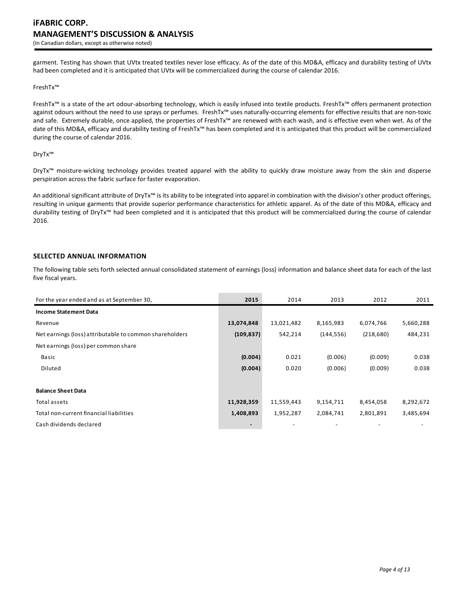garment. Testing has shown that UVtx treated textiles never lose efficacy. As of the date of this MD&A, efficacy and durability testing of UVtx had been completed and it is anticipated that UVtx will be commercialized during the course of calendar 2016.

## FreshTx™

FreshTx™ is a state of the art odour-absorbing technology, which is easily infused into textile products. FreshTx™ offers permanent protection against odours without the need to use sprays or perfumes. FreshTx™ uses naturally-occurring elements for effective results that are non-toxic and safe. Extremely durable, once applied, the properties of FreshTx™ are renewed with each wash, and is effective even when wet. As of the date of this MD&A, efficacy and durability testing of FreshTx™ has been completed and it is anticipated that this product will be commercialized during the course of calendar 2016.

### DryTx™

DryTx™ moisture-wicking technology provides treated apparel with the ability to quickly draw moisture away from the skin and disperse perspiration across the fabric surface for faster evaporation.

An additional significant attribute of DryTx<sup>™</sup> is its ability to be integrated into apparel in combination with the division's other product offerings, resulting in unique garments that provide superior performance characteristics for athletic apparel. As of the date of this MD&A, efficacy and durability testing of DryTx™ had been completed and it is anticipated that this product will be commercialized during the course of calendar 2016.

## **SELECTED ANNUAL INFORMATION**

The following table sets forth selected annual consolidated statement of earnings (loss) information and balance sheet data for each of the last five fiscal years.

| For the year ended and as at September 30,              | 2015                     | 2014       | 2013       | 2012       | 2011      |
|---------------------------------------------------------|--------------------------|------------|------------|------------|-----------|
| <b>Income Statement Data</b>                            |                          |            |            |            |           |
| Revenue                                                 | 13,074,848               | 13,021,482 | 8,165,983  | 6,074,766  | 5,660,288 |
| Net earnings (loss) attributable to common shareholders | (109, 837)               | 542,214    | (144, 556) | (218, 680) | 484,231   |
| Net earnings (loss) per common share                    |                          |            |            |            |           |
| Basic                                                   | (0.004)                  | 0.021      | (0.006)    | (0.009)    | 0.038     |
| Diluted                                                 | (0.004)                  | 0.020      | (0.006)    | (0.009)    | 0.038     |
|                                                         |                          |            |            |            |           |
| <b>Balance Sheet Data</b>                               |                          |            |            |            |           |
| Total assets                                            | 11,928,359               | 11,559,443 | 9,154,711  | 8,454,058  | 8,292,672 |
| Total non-current financial liabilities                 | 1,408,893                | 1,952,287  | 2,084,741  | 2,801,891  | 3,485,694 |
| Cash dividends declared                                 | $\overline{\phantom{a}}$ |            |            |            |           |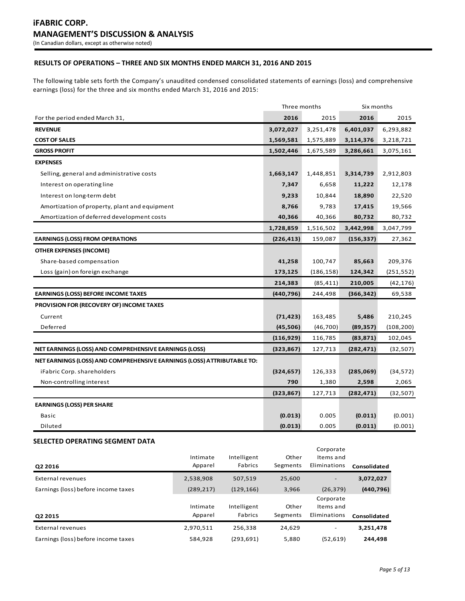# **RESULTS OF OPERATIONS – THREE AND SIX MONTHS ENDED MARCH 31, 2016 AND 2015**

The following table sets forth the Company's unaudited condensed consolidated statements of earnings (loss) and comprehensive earnings (loss) for the three and six months ended March 31, 2016 and 2015:

|                                                                        | Three months |            | Six months |            |
|------------------------------------------------------------------------|--------------|------------|------------|------------|
| For the period ended March 31,                                         | 2016         | 2015       | 2016       | 2015       |
| <b>REVENUE</b>                                                         | 3,072,027    | 3,251,478  | 6,401,037  | 6,293,882  |
| <b>COST OF SALES</b>                                                   | 1,569,581    | 1,575,889  | 3,114,376  | 3,218,721  |
| <b>GROSS PROFIT</b>                                                    | 1,502,446    | 1,675,589  | 3,286,661  | 3,075,161  |
| <b>EXPENSES</b>                                                        |              |            |            |            |
| Selling, general and administrative costs                              | 1,663,147    | 1,448,851  | 3,314,739  | 2,912,803  |
| Interest on operating line                                             | 7,347        | 6,658      | 11,222     | 12,178     |
| Interest on long-term debt                                             | 9,233        | 10,844     | 18,890     | 22,520     |
| Amortization of property, plant and equipment                          | 8,766        | 9,783      | 17,415     | 19,566     |
| Amortization of deferred development costs                             | 40,366       | 40,366     | 80,732     | 80,732     |
|                                                                        | 1,728,859    | 1,516,502  | 3,442,998  | 3,047,799  |
| <b>EARNINGS (LOSS) FROM OPERATIONS</b>                                 | (226, 413)   | 159,087    | (156, 337) | 27,362     |
| <b>OTHER EXPENSES (INCOME)</b>                                         |              |            |            |            |
| Share-based compensation                                               | 41,258       | 100,747    | 85,663     | 209,376    |
| Loss (gain) on foreign exchange                                        | 173,125      | (186, 158) | 124,342    | (251, 552) |
|                                                                        | 214,383      | (85, 411)  | 210,005    | (42, 176)  |
| <b>EARNINGS (LOSS) BEFORE INCOME TAXES</b>                             | (440,796)    | 244,498    | (366, 342) | 69,538     |
| <b>PROVISION FOR (RECOVERY OF) INCOME TAXES</b>                        |              |            |            |            |
| Current                                                                | (71, 423)    | 163,485    | 5,486      | 210,245    |
| Deferred                                                               | (45,506)     | (46,700)   | (89, 357)  | (108, 200) |
|                                                                        | (116, 929)   | 116,785    | (83, 871)  | 102,045    |
| NET EARNINGS (LOSS) AND COMPREHENSIVE EARNINGS (LOSS)                  | (323, 867)   | 127,713    | (282, 471) | (32, 507)  |
| NET EARNINGS (LOSS) AND COMPREHENSIVE EARNINGS (LOSS) ATTRIBUTABLE TO: |              |            |            |            |
| iFabric Corp. shareholders                                             | (324, 657)   | 126,333    | (285,069)  | (34, 572)  |
| Non-controlling interest                                               | 790          | 1,380      | 2,598      | 2,065      |
|                                                                        | (323, 867)   | 127,713    | (282, 471) | (32, 507)  |
| <b>EARNINGS (LOSS) PER SHARE</b>                                       |              |            |            |            |
| Basic                                                                  | (0.013)      | 0.005      | (0.011)    | (0.001)    |
| Diluted                                                                | (0.013)      | 0.005      | (0.011)    | (0.001)    |

### **SELECTED OPERATING SEGMENT DATA**

| Q2 2016                             | Intimate<br>Apparel | Intelligent<br>Fabrics | Other<br>Segments | Corporate<br>Items and<br>Eliminations | Consolidated |
|-------------------------------------|---------------------|------------------------|-------------------|----------------------------------------|--------------|
| External revenues                   | 2,538,908           | 507,519                | 25,600            | $\overline{\phantom{0}}$               | 3,072,027    |
| Earnings (loss) before income taxes | (289, 217)          | (129, 166)             | 3,966             | (26, 379)                              | (440, 796)   |
|                                     | Intimate<br>Apparel | Intelligent<br>Fabrics | Other<br>Segments | Corporate<br>Items and<br>Eliminations |              |
| Q2 2015                             |                     |                        |                   |                                        | Consolidated |
| External revenues                   | 2,970,511           | 256.338                | 24,629            |                                        | 3,251,478    |
| Earnings (loss) before income taxes | 584,928             | (293, 691)             | 5,880             | (52, 619)                              | 244.498      |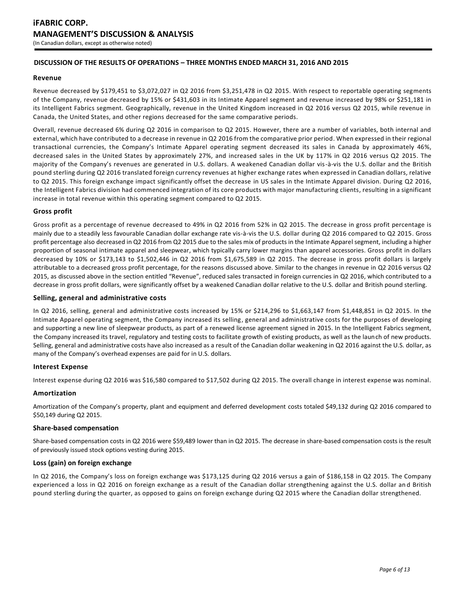# **DISCUSSION OF THE RESULTS OF OPERATIONS – THREE MONTHS ENDED MARCH 31, 2016 AND 2015**

### **Revenue**

Revenue decreased by \$179,451 to \$3,072,027 in Q2 2016 from \$3,251,478 in Q2 2015. With respect to reportable operating segments of the Company, revenue decreased by 15% or \$431,603 in its Intimate Apparel segment and revenue increased by 98% or \$251,181 in its Intelligent Fabrics segment. Geographically, revenue in the United Kingdom increased in Q2 2016 versus Q2 2015, while revenue in Canada, the United States, and other regions decreased for the same comparative periods.

Overall, revenue decreased 6% during Q2 2016 in comparison to Q2 2015. However, there are a number of variables, both internal and external, which have contributed to a decrease in revenue in Q2 2016 from the comparative prior period. When expressed in their regional transactional currencies, the Company's Intimate Apparel operating segment decreased its sales in Canada by approximately 46%, decreased sales in the United States by approximately 27%, and increased sales in the UK by 117% in Q2 2016 versus Q2 2015. The majority of the Company's revenues are generated in U.S. dollars. A weakened Canadian dollar vis-à-vis the U.S. dollar and the British pound sterling during Q2 2016 translated foreign currency revenues at higher exchange rates when expressed in Canadian dollars, relative to Q2 2015. This foreign exchange impact significantly offset the decrease in US sales in the Intimate Apparel division. During Q2 2016, the Intelligent Fabrics division had commenced integration of its core products with major manufacturing clients, resulting in a significant increase in total revenue within this operating segment compared to Q2 2015.

## **Gross profit**

Gross profit as a percentage of revenue decreased to 49% in Q2 2016 from 52% in Q2 2015. The decrease in gross profit percentage is mainly due to a steadily less favourable Canadian dollar exchange rate vis-à-vis the U.S. dollar during Q2 2016 compared to Q2 2015. Gross profit percentage also decreased in Q2 2016 from Q2 2015 due to the sales mix of products in the Intimate Apparel segment, including a higher proportion of seasonal intimate apparel and sleepwear, which typically carry lower margins than apparel accessories. Gross profit in dollars decreased by 10% or \$173,143 to \$1,502,446 in Q2 2016 from \$1,675,589 in Q2 2015. The decrease in gross profit dollars is largely attributable to a decreased gross profit percentage, for the reasons discussed above. Similar to the changes in revenue in Q2 2016 versus Q2 2015, as discussed above in the section entitled "Revenue", reduced sales transacted in foreign currencies in Q2 2016, which contributed to a decrease in gross profit dollars, were significantly offset by a weakened Canadian dollar relative to the U.S. dollar and British pound sterling.

### **Selling, general and administrative costs**

In Q2 2016, selling, general and administrative costs increased by 15% or \$214,296 to \$1,663,147 from \$1,448,851 in Q2 2015. In the Intimate Apparel operating segment, the Company increased its selling, general and administrative costs for the purposes of developing and supporting a new line of sleepwear products, as part of a renewed license agreement signed in 2015. In the Intelligent Fabrics segment, the Company increased its travel, regulatory and testing costs to facilitate growth of existing products, as well as the launch of new products. Selling, general and administrative costs have also increased as a result of the Canadian dollar weakening in Q2 2016 against the U.S. dollar, as many of the Company's overhead expenses are paid for in U.S. dollars.

#### **Interest Expense**

Interest expense during Q2 2016 was \$16,580 compared to \$17,502 during Q2 2015. The overall change in interest expense was nominal.

#### **Amortization**

Amortization of the Company's property, plant and equipment and deferred development costs totaled \$49,132 during Q2 2016 compared to \$50,149 during Q2 2015.

#### **Share-based compensation**

Share-based compensation costs in Q2 2016 were \$59,489 lower than in Q2 2015. The decrease in share-based compensation costs is the result of previously issued stock options vesting during 2015.

## **Loss (gain) on foreign exchange**

In Q2 2016, the Company's loss on foreign exchange was \$173,125 during Q2 2016 versus a gain of \$186,158 in Q2 2015. The Company experienced a loss in Q2 2016 on foreign exchange as a result of the Canadian dollar strengthening against the U.S. dollar an d British pound sterling during the quarter, as opposed to gains on foreign exchange during Q2 2015 where the Canadian dollar strengthened.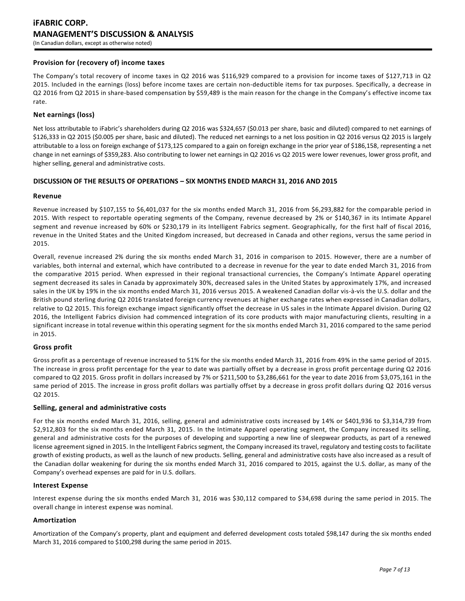# **iFABRIC CORP. MANAGEMENT'S DISCUSSION & ANALYSIS** (In Canadian dollars, except as otherwise noted)

## **Provision for (recovery of) income taxes**

The Company's total recovery of income taxes in Q2 2016 was \$116,929 compared to a provision for income taxes of \$127,713 in Q2 2015. Included in the earnings (loss) before income taxes are certain non-deductible items for tax purposes. Specifically, a decrease in Q2 2016 from Q2 2015 in share-based compensation by \$59,489 is the main reason for the change in the Company's effective income tax rate.

### **Net earnings (loss)**

Net loss attributable to iFabric's shareholders during Q2 2016 was \$324,657 (\$0.013 per share, basic and diluted) compared to net earnings of \$126,333 in Q2 2015 (\$0.005 per share, basic and diluted). The reduced net earnings to a net loss position in Q2 2016 versus Q2 2015 is largely attributable to a loss on foreign exchange of \$173,125 compared to a gain on foreign exchange in the prior year of \$186,158, representing a net change in net earnings of \$359,283. Also contributing to lower net earnings in Q2 2016 vs Q2 2015 were lower revenues, lower gross profit, and higher selling, general and administrative costs.

## **DISCUSSION OF THE RESULTS OF OPERATIONS – SIX MONTHS ENDED MARCH 31, 2016 AND 2015**

#### **Revenue**

Revenue increased by \$107,155 to \$6,401,037 for the six months ended March 31, 2016 from \$6,293,882 for the comparable period in 2015. With respect to reportable operating segments of the Company, revenue decreased by 2% or \$140,367 in its Intimate Apparel segment and revenue increased by 60% or \$230,179 in its Intelligent Fabrics segment. Geographically, for the first half of fiscal 2016, revenue in the United States and the United Kingdom increased, but decreased in Canada and other regions, versus the same period in 2015.

Overall, revenue increased 2% during the six months ended March 31, 2016 in comparison to 2015. However, there are a number of variables, both internal and external, which have contributed to a decrease in revenue for the year to date ended March 31, 2016 from the comparative 2015 period. When expressed in their regional transactional currencies, the Company's Intimate Apparel operating segment decreased its sales in Canada by approximately 30%, decreased sales in the United States by approximately 17%, and increased sales in the UK by 19% in the six months ended March 31, 2016 versus 2015. A weakened Canadian dollar vis-à-vis the U.S. dollar and the British pound sterling during Q2 2016 translated foreign currency revenues at higher exchange rates when expressed in Canadian dollars, relative to Q2 2015. This foreign exchange impact significantly offset the decrease in US sales in the Intimate Apparel division. During Q2 2016, the Intelligent Fabrics division had commenced integration of its core products with major manufacturing clients, resulting in a significant increase in total revenue within this operating segment for the six months ended March 31, 2016 compared to the same period in 2015.

### **Gross profit**

Gross profit as a percentage of revenue increased to 51% for the six months ended March 31, 2016 from 49% in the same period of 2015. The increase in gross profit percentage for the year to date was partially offset by a decrease in gross profit percentage during Q2 2016 compared to Q2 2015. Gross profit in dollars increased by 7% or \$211,500 to \$3,286,661 for the year to date 2016 from \$3,075,161 in the same period of 2015. The increase in gross profit dollars was partially offset by a decrease in gross profit dollars during Q2 2016 versus Q2 2015.

#### **Selling, general and administrative costs**

For the six months ended March 31, 2016, selling, general and administrative costs increased by 14% or \$401,936 to \$3,314,739 from \$2,912,803 for the six months ended March 31, 2015. In the Intimate Apparel operating segment, the Company increased its selling, general and administrative costs for the purposes of developing and supporting a new line of sleepwear products, as part of a renewed license agreement signed in 2015. In the Intelligent Fabrics segment, the Company increased its travel, regulatory and testing costs to facilitate growth of existing products, as well as the launch of new products. Selling, general and administrative costs have also increased as a result of the Canadian dollar weakening for during the six months ended March 31, 2016 compared to 2015, against the U.S. dollar, as many of the Company's overhead expenses are paid for in U.S. dollars.

#### **Interest Expense**

Interest expense during the six months ended March 31, 2016 was \$30,112 compared to \$34,698 during the same period in 2015. The overall change in interest expense was nominal.

## **Amortization**

Amortization of the Company's property, plant and equipment and deferred development costs totaled \$98,147 during the six months ended March 31, 2016 compared to \$100,298 during the same period in 2015.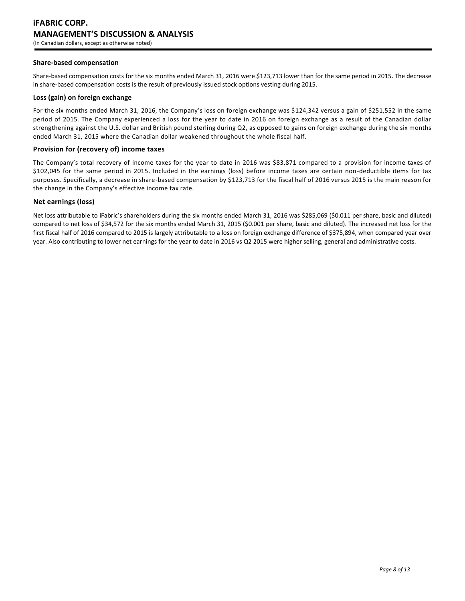## **Share-based compensation**

Share-based compensation costs for the six months ended March 31, 2016 were \$123,713 lower than for the same period in 2015. The decrease in share-based compensation costs is the result of previously issued stock options vesting during 2015.

#### **Loss (gain) on foreign exchange**

For the six months ended March 31, 2016, the Company's loss on foreign exchange was \$124,342 versus a gain of \$251,552 in the same period of 2015. The Company experienced a loss for the year to date in 2016 on foreign exchange as a result of the Canadian dollar strengthening against the U.S. dollar and British pound sterling during Q2, as opposed to gains on foreign exchange during the six months ended March 31, 2015 where the Canadian dollar weakened throughout the whole fiscal half.

#### **Provision for (recovery of) income taxes**

The Company's total recovery of income taxes for the year to date in 2016 was \$83,871 compared to a provision for income taxes of \$102,045 for the same period in 2015. Included in the earnings (loss) before income taxes are certain non-deductible items for tax purposes. Specifically, a decrease in share-based compensation by \$123,713 for the fiscal half of 2016 versus 2015 is the main reason for the change in the Company's effective income tax rate.

#### **Net earnings (loss)**

Net loss attributable to iFabric's shareholders during the six months ended March 31, 2016 was \$285,069 (\$0.011 per share, basic and diluted) compared to net loss of \$34,572 for the six months ended March 31, 2015 (\$0.001 per share, basic and diluted). The increased net loss for the first fiscal half of 2016 compared to 2015 is largely attributable to a loss on foreign exchange difference of \$375,894, when compared year over year. Also contributing to lower net earnings for the year to date in 2016 vs Q2 2015 were higher selling, general and administrative costs.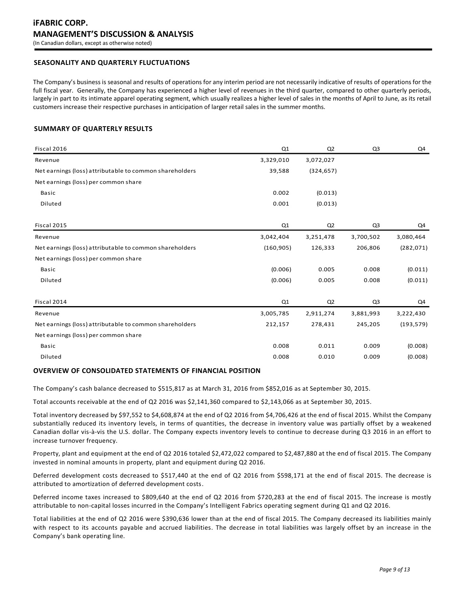# **SEASONALITY AND QUARTERLY FLUCTUATIONS**

The Company's business is seasonal and results of operations for any interim period are not necessarily indicative of results of operations for the full fiscal year. Generally, the Company has experienced a higher level of revenues in the third quarter, compared to other quarterly periods, largely in part to its intimate apparel operating segment, which usually realizes a higher level of sales in the months of April to June, as its retail customers increase their respective purchases in anticipation of larger retail sales in the summer months.

## **SUMMARY OF QUARTERLY RESULTS**

| Fiscal 2016                                             | Q1         | Q <sub>2</sub> | Q <sub>3</sub> | Q4         |
|---------------------------------------------------------|------------|----------------|----------------|------------|
| Revenue                                                 | 3,329,010  | 3,072,027      |                |            |
| Net earnings (loss) attributable to common shareholders | 39,588     | (324, 657)     |                |            |
| Net earnings (loss) per common share                    |            |                |                |            |
| <b>Basic</b>                                            | 0.002      | (0.013)        |                |            |
| Diluted                                                 | 0.001      | (0.013)        |                |            |
|                                                         |            |                |                |            |
| Fiscal 2015                                             | Q1         | Q2             | Q <sub>3</sub> | Q4         |
| Revenue                                                 | 3,042,404  | 3,251,478      | 3,700,502      | 3,080,464  |
| Net earnings (loss) attributable to common shareholders | (160, 905) | 126,333        | 206,806        | (282, 071) |
| Net earnings (loss) per common share                    |            |                |                |            |
| <b>Basic</b>                                            | (0.006)    | 0.005          | 0.008          | (0.011)    |
| Diluted                                                 | (0.006)    | 0.005          | 0.008          | (0.011)    |
|                                                         |            |                |                |            |
| Fiscal 2014                                             | Q1         | Q <sub>2</sub> | Q3             | Q4         |
| Revenue                                                 | 3,005,785  | 2,911,274      | 3,881,993      | 3,222,430  |
| Net earnings (loss) attributable to common shareholders | 212,157    | 278,431        | 245,205        | (193, 579) |
| Net earnings (loss) per common share                    |            |                |                |            |
| <b>Basic</b>                                            | 0.008      | 0.011          | 0.009          | (0.008)    |
| Diluted                                                 | 0.008      | 0.010          | 0.009          | (0.008)    |
|                                                         |            |                |                |            |

## **OVERVIEW OF CONSOLIDATED STATEMENTS OF FINANCIAL POSITION**

The Company's cash balance decreased to \$515,817 as at March 31, 2016 from \$852,016 as at September 30, 2015.

Total accounts receivable at the end of Q2 2016 was \$2,141,360 compared to \$2,143,066 as at September 30, 2015.

Total inventory decreased by \$97,552 to \$4,608,874 at the end of Q2 2016 from \$4,706,426 at the end of fiscal 2015. Whilst the Company substantially reduced its inventory levels, in terms of quantities, the decrease in inventory value was partially offset by a weakened Canadian dollar vis-à-vis the U.S. dollar. The Company expects inventory levels to continue to decrease during Q3 2016 in an effort to increase turnover frequency.

Property, plant and equipment at the end of Q2 2016 totaled \$2,472,022 compared to \$2,487,880 at the end of fiscal 2015. The Company invested in nominal amounts in property, plant and equipment during Q2 2016.

Deferred development costs decreased to \$517,440 at the end of Q2 2016 from \$598,171 at the end of fiscal 2015. The decrease is attributed to amortization of deferred development costs.

Deferred income taxes increased to \$809,640 at the end of Q2 2016 from \$720,283 at the end of fiscal 2015. The increase is mostly attributable to non-capital losses incurred in the Company's Intelligent Fabrics operating segment during Q1 and Q2 2016.

Total liabilities at the end of Q2 2016 were \$390,636 lower than at the end of fiscal 2015. The Company decreased its liabilities mainly with respect to its accounts payable and accrued liabilities. The decrease in total liabilities was largely offset by an increase in the Company's bank operating line.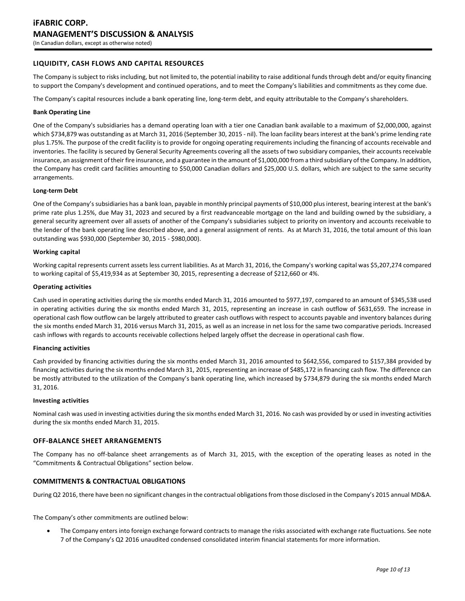## **LIQUIDITY, CASH FLOWS AND CAPITAL RESOURCES**

The Company is subject to risks including, but not limited to, the potential inability to raise additional funds through debt and/or equity financing to support the Company's development and continued operations, and to meet the Company's liabilities and commitments as they come due.

The Company's capital resources include a bank operating line, long-term debt, and equity attributable to the Company's shareholders.

#### **Bank Operating Line**

One of the Company's subsidiaries has a demand operating loan with a tier one Canadian bank available to a maximum of \$2,000,000, against which \$734,879 was outstanding as at March 31, 2016 (September 30, 2015 - nil). The loan facility bears interest at the bank's prime lending rate plus 1.75%. The purpose of the credit facility is to provide for ongoing operating requirements including the financing of accounts receivable and inventories. The facility is secured by General Security Agreements covering all the assets of two subsidiary companies, their accounts receivable insurance, an assignment of their fire insurance, and a guarantee in the amount of \$1,000,000 from a third subsidiary of the Company. In addition, the Company has credit card facilities amounting to \$50,000 Canadian dollars and \$25,000 U.S. dollars, which are subject to the same security arrangements.

#### **Long-term Debt**

One of the Company's subsidiaries has a bank loan, payable in monthly principal payments of \$10,000 plus interest, bearing interest at the bank's prime rate plus 1.25%, due May 31, 2023 and secured by a first readvanceable mortgage on the land and building owned by the subsidiary, a general security agreement over all assets of another of the Company's subsidiaries subject to priority on inventory and accounts receivable to the lender of the bank operating line described above, and a general assignment of rents. As at March 31, 2016, the total amount of this loan outstanding was \$930,000 (September 30, 2015 - \$980,000).

#### **Working capital**

Working capital represents current assets less current liabilities. As at March 31, 2016, the Company's working capital was \$5,207,274 compared to working capital of \$5,419,934 as at September 30, 2015, representing a decrease of \$212,660 or 4%.

#### **Operating activities**

Cash used in operating activities during the six months ended March 31, 2016 amounted to \$977,197, compared to an amount of \$345,538 used in operating activities during the six months ended March 31, 2015, representing an increase in cash outflow of \$631,659. The increase in operational cash flow outflow can be largely attributed to greater cash outflows with respect to accounts payable and inventory balances during the six months ended March 31, 2016 versus March 31, 2015, as well as an increase in net loss for the same two comparative periods. Increased cash inflows with regards to accounts receivable collections helped largely offset the decrease in operational cash flow.

#### **Financing activities**

Cash provided by financing activities during the six months ended March 31, 2016 amounted to \$642,556, compared to \$157,384 provided by financing activities during the six months ended March 31, 2015, representing an increase of \$485,172 in financing cash flow. The difference can be mostly attributed to the utilization of the Company's bank operating line, which increased by \$734,879 during the six months ended March 31, 2016.

#### **Investing activities**

Nominal cash was used in investing activities during the six months ended March 31, 2016. No cash was provided by or used in investing activities during the six months ended March 31, 2015.

### **OFF-BALANCE SHEET ARRANGEMENTS**

The Company has no off-balance sheet arrangements as of March 31, 2015, with the exception of the operating leases as noted in the "Commitments & Contractual Obligations" section below.

#### **COMMITMENTS & CONTRACTUAL OBLIGATIONS**

During Q2 2016, there have been no significant changes in the contractual obligations from those disclosed in the Company's 2015 annual MD&A.

The Company's other commitments are outlined below:

 The Company enters into foreign exchange forward contracts to manage the risks associated with exchange rate fluctuations. See note 7 of the Company's Q2 2016 unaudited condensed consolidated interim financial statements for more information.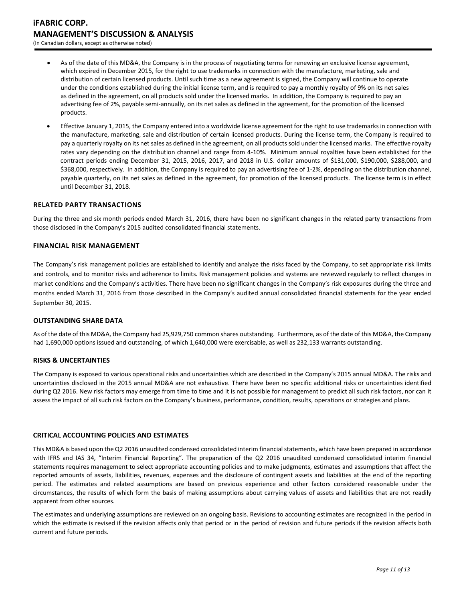- As of the date of this MD&A, the Company is in the process of negotiating terms for renewing an exclusive license agreement, which expired in December 2015, for the right to use trademarks in connection with the manufacture, marketing, sale and distribution of certain licensed products. Until such time as a new agreement is signed, the Company will continue to operate under the conditions established during the initial license term, and is required to pay a monthly royalty of 9% on its net sales as defined in the agreement, on all products sold under the licensed marks. In addition, the Company is required to pay an advertising fee of 2%, payable semi-annually, on its net sales as defined in the agreement, for the promotion of the licensed products.
- Effective January 1, 2015, the Company entered into a worldwide license agreement for the right to use trademarks in connection with the manufacture, marketing, sale and distribution of certain licensed products. During the license term, the Company is required to pay a quarterly royalty on its net sales as defined in the agreement, on all products sold under the licensed marks. The effective royalty rates vary depending on the distribution channel and range from 4-10%. Minimum annual royalties have been established for the contract periods ending December 31, 2015, 2016, 2017, and 2018 in U.S. dollar amounts of \$131,000, \$190,000, \$288,000, and \$368,000, respectively. In addition, the Company is required to pay an advertising fee of 1-2%, depending on the distribution channel, payable quarterly, on its net sales as defined in the agreement, for promotion of the licensed products. The license term is in effect until December 31, 2018.

#### **RELATED PARTY TRANSACTIONS**

During the three and six month periods ended March 31, 2016, there have been no significant changes in the related party transactions from those disclosed in the Company's 2015 audited consolidated financial statements.

#### **FINANCIAL RISK MANAGEMENT**

The Company's risk management policies are established to identify and analyze the risks faced by the Company, to set appropriate risk limits and controls, and to monitor risks and adherence to limits. Risk management policies and systems are reviewed regularly to reflect changes in market conditions and the Company's activities. There have been no significant changes in the Company's risk exposures during the three and months ended March 31, 2016 from those described in the Company's audited annual consolidated financial statements for the year ended September 30, 2015.

#### **OUTSTANDING SHARE DATA**

As of the date of this MD&A, the Company had 25,929,750 common shares outstanding. Furthermore, as of the date of this MD&A, the Company had 1,690,000 options issued and outstanding, of which 1,640,000 were exercisable, as well as 232,133 warrants outstanding.

#### **RISKS & UNCERTAINTIES**

The Company is exposed to various operational risks and uncertainties which are described in the Company's 2015 annual MD&A. The risks and uncertainties disclosed in the 2015 annual MD&A are not exhaustive. There have been no specific additional risks or uncertainties identified during Q2 2016. New risk factors may emerge from time to time and it is not possible for management to predict all such risk factors, nor can it assess the impact of all such risk factors on the Company's business, performance, condition, results, operations or strategies and plans.

#### **CRITICAL ACCOUNTING POLICIES AND ESTIMATES**

This MD&A is based upon the Q2 2016 unaudited condensed consolidated interim financial statements, which have been prepared in accordance with IFRS and IAS 34, "Interim Financial Reporting". The preparation of the Q2 2016 unaudited condensed consolidated interim financial statements requires management to select appropriate accounting policies and to make judgments, estimates and assumptions that affect the reported amounts of assets, liabilities, revenues, expenses and the disclosure of contingent assets and liabilities at the end of the reporting period. The estimates and related assumptions are based on previous experience and other factors considered reasonable under the circumstances, the results of which form the basis of making assumptions about carrying values of assets and liabilities that are not readily apparent from other sources.

The estimates and underlying assumptions are reviewed on an ongoing basis. Revisions to accounting estimates are recognized in the period in which the estimate is revised if the revision affects only that period or in the period of revision and future periods if the revision affects both current and future periods.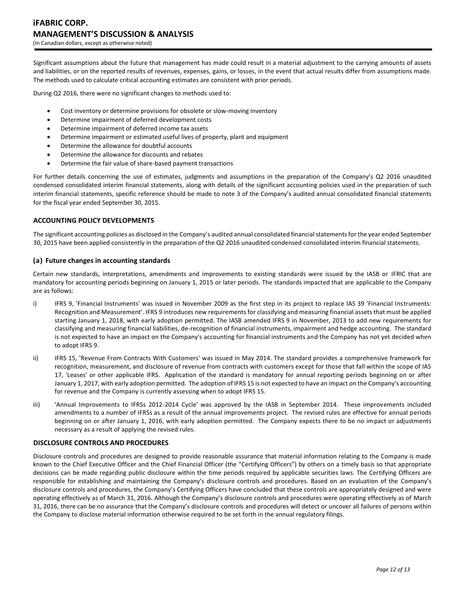Significant assumptions about the future that management has made could result in a material adjustment to the carrying amounts of assets and liabilities, or on the reported results of revenues, expenses, gains, or losses, in the event that actual results differ from assumptions made. The methods used to calculate critical accounting estimates are consistent with prior periods.

During Q2 2016, there were no significant changes to methods used to:

- Cost inventory or determine provisions for obsolete or slow-moving inventory
- Determine impairment of deferred development costs
- Determine impairment of deferred income tax assets
- Determine impairment or estimated useful lives of property, plant and equipment
- Determine the allowance for doubtful accounts
- Determine the allowance for discounts and rebates
- Determine the fair value of share-based payment transactions

For further details concerning the use of estimates, judgments and assumptions in the preparation of the Company's Q2 2016 unaudited condensed consolidated interim financial statements, along with details of the significant accounting policies used in the preparation of such interim financial statements, specific reference should be made to note 3 of the Company's audited annual consolidated financial statements for the fiscal year ended September 30, 2015.

## **ACCOUNTING POLICY DEVELOPMENTS**

The significant accounting policies as disclosed in the Company's audited annual consolidated financial statements for the year ended September 30, 2015 have been applied consistently in the preparation of the Q2 2016 unaudited condensed consolidated interim financial statements.

## **(a) Future changes in accounting standards**

Certain new standards, interpretations, amendments and improvements to existing standards were issued by the IASB or IFRIC that are mandatory for accounting periods beginning on January 1, 2015 or later periods. The standards impacted that are applicable to the Company are as follows:

- i) IFRS 9, 'Financial Instruments' was issued in November 2009 as the first step in its project to replace IAS 39 'Financial Instruments: Recognition and Measurement'. IFRS 9 introduces new requirements for classifying and measuring financial assets that must be applied starting January 1, 2018, with early adoption permitted. The IASB amended IFRS 9 in November, 2013 to add new requirements for classifying and measuring financial liabilities, de-recognition of financial instruments, impairment and hedge accounting. The standard is not expected to have an impact on the Company's accounting for financial instruments and the Company has not yet decided when to adopt IFRS 9.
- ii) IFRS 15, 'Revenue From Contracts With Customers' was issued in May 2014. The standard provides a comprehensive framework for recognition, measurement, and disclosure of revenue from contracts with customers except for those that fall within the scope of IAS 17, 'Leases' or other applicable IFRS. Application of the standard is mandatory for annual reporting periods beginning on or after January 1, 2017, with early adoption permitted. The adoption of IFRS 15 is not expected to have an impact on the Company's accounting for revenue and the Company is currently assessing when to adopt IFRS 15.
- iii) 'Annual Improvements to IFRSs 2012-2014 Cycle' was approved by the IASB in September 2014. These improvements included amendments to a number of IFRSs as a result of the annual improvements project. The revised rules are effective for annual periods beginning on or after January 1, 2016, with early adoption permitted. The Company expects there to be no impact or adjustments necessary as a result of applying the revised rules.

#### **DISCLOSURE CONTROLS AND PROCEDURES**

Disclosure controls and procedures are designed to provide reasonable assurance that material information relating to the Company is made known to the Chief Executive Officer and the Chief Financial Officer (the "Certifying Officers") by others on a timely basis so that appropriate decisions can be made regarding public disclosure within the time periods required by applicable securities laws. The Certifying Officers are responsible for establishing and maintaining the Company's disclosure controls and procedures. Based on an evaluation of the Company's disclosure controls and procedures, the Company's Certifying Officers have concluded that these controls are appropriately designed and were operating effectively as of March 31, 2016. Although the Company's disclosure controls and procedures were operating effectively as of March 31, 2016, there can be no assurance that the Company's disclosure controls and procedures will detect or uncover all failures of persons within the Company to disclose material information otherwise required to be set forth in the annual regulatory filings.